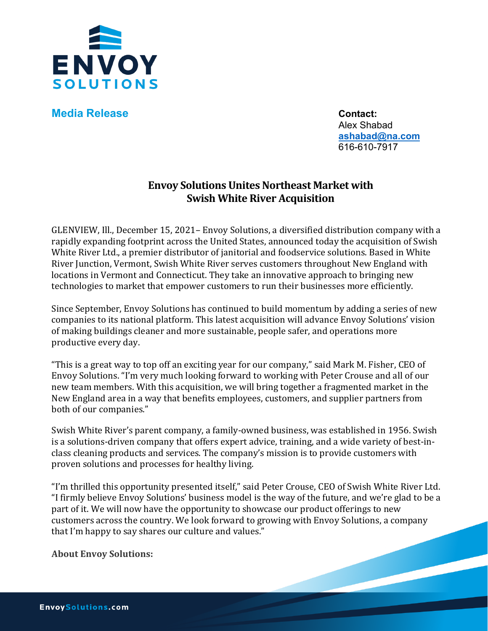

**Media Release Contact:** 

Alex Shabad **[ashabad@na.com](mailto:ashabad@na.com)** 616-610-7917

## **Envoy Solutions Unites Northeast Market with Swish White River Acquisition**

GLENVIEW, Ill., December 15, 2021– Envoy Solutions, a diversified distribution company with a rapidly expanding footprint across the United States, announced today the acquisition of Swish White River Ltd., a premier distributor of janitorial and foodservice solutions. Based in White River Junction, Vermont, Swish White River serves customers throughout New England with locations in Vermont and Connecticut. They take an innovative approach to bringing new technologies to market that empower customers to run their businesses more efficiently.

Since September, Envoy Solutions has continued to build momentum by adding a series of new companies to its national platform. This latest acquisition will advance Envoy Solutions' vision of making buildings cleaner and more sustainable, people safer, and operations more productive every day.

"This is a great way to top off an exciting year for our company," said Mark M. Fisher, CEO of Envoy Solutions. "I'm very much looking forward to working with Peter Crouse and all of our new team members. With this acquisition, we will bring together a fragmented market in the New England area in a way that benefits employees, customers, and supplier partners from both of our companies."

Swish White River's parent company, a family-owned business, was established in 1956. Swish is a solutions-driven company that offers expert advice, training, and a wide variety of best-inclass cleaning products and services. The company's mission is to provide customers with proven solutions and processes for healthy living.

"I'm thrilled this opportunity presented itself," said Peter Crouse, CEO of Swish White River Ltd. "I firmly believe Envoy Solutions' business model is the way of the future, and we're glad to be a part of it. We will now have the opportunity to showcase our product offerings to new customers across the country. We look forward to growing with Envoy Solutions, a company that I'm happy to say shares our culture and values."

**About Envoy Solutions:**